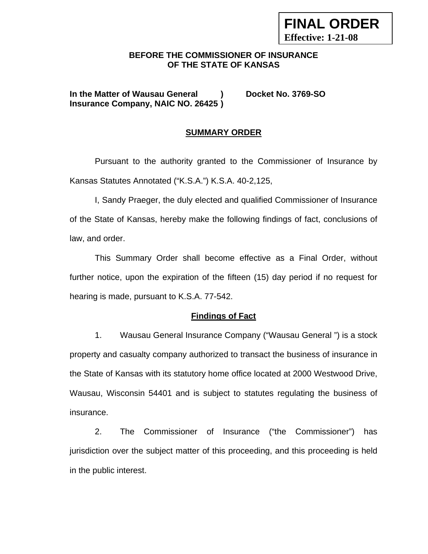# **BEFORE THE COMMISSIONER OF INSURANCE OF THE STATE OF KANSAS**

**FINAL ORDER** 

**Effective: 1-21-08**

**In the Matter of Wausau General ) Docket No. 3769-SO Insurance Company, NAIC NO. 26425 )** 

# **SUMMARY ORDER**

 Pursuant to the authority granted to the Commissioner of Insurance by Kansas Statutes Annotated ("K.S.A.") K.S.A. 40-2,125,

 I, Sandy Praeger, the duly elected and qualified Commissioner of Insurance of the State of Kansas, hereby make the following findings of fact, conclusions of law, and order.

This Summary Order shall become effective as a Final Order, without further notice, upon the expiration of the fifteen (15) day period if no request for hearing is made, pursuant to K.S.A. 77-542.

### **Findings of Fact**

1. Wausau General Insurance Company ("Wausau General ") is a stock property and casualty company authorized to transact the business of insurance in the State of Kansas with its statutory home office located at 2000 Westwood Drive, Wausau, Wisconsin 54401 and is subject to statutes regulating the business of insurance.

2. The Commissioner of Insurance ("the Commissioner") has jurisdiction over the subject matter of this proceeding, and this proceeding is held in the public interest.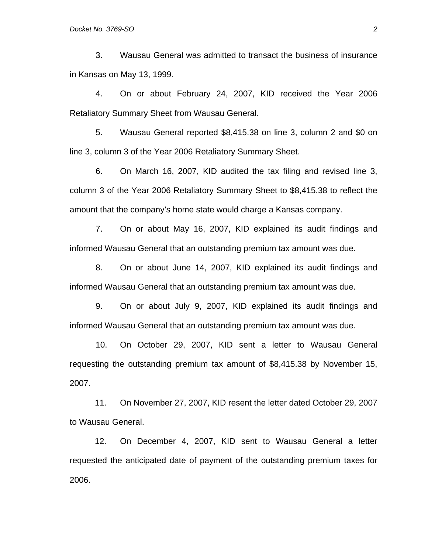3. Wausau General was admitted to transact the business of insurance in Kansas on May 13, 1999.

4. On or about February 24, 2007, KID received the Year 2006 Retaliatory Summary Sheet from Wausau General.

5. Wausau General reported \$8,415.38 on line 3, column 2 and \$0 on line 3, column 3 of the Year 2006 Retaliatory Summary Sheet.

6. On March 16, 2007, KID audited the tax filing and revised line 3, column 3 of the Year 2006 Retaliatory Summary Sheet to \$8,415.38 to reflect the amount that the company's home state would charge a Kansas company.

7. On or about May 16, 2007, KID explained its audit findings and informed Wausau General that an outstanding premium tax amount was due.

8. On or about June 14, 2007, KID explained its audit findings and informed Wausau General that an outstanding premium tax amount was due.

9. On or about July 9, 2007, KID explained its audit findings and informed Wausau General that an outstanding premium tax amount was due.

10. On October 29, 2007, KID sent a letter to Wausau General requesting the outstanding premium tax amount of \$8,415.38 by November 15, 2007.

 11. On November 27, 2007, KID resent the letter dated October 29, 2007 to Wausau General.

 12. On December 4, 2007, KID sent to Wausau General a letter requested the anticipated date of payment of the outstanding premium taxes for 2006.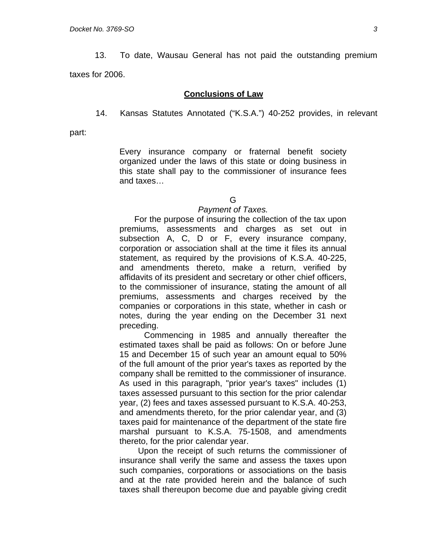13. To date, Wausau General has not paid the outstanding premium taxes for 2006.

#### **Conclusions of Law**

14. Kansas Statutes Annotated ("K.S.A.") 40-252 provides, in relevant

part:

Every insurance company or fraternal benefit society organized under the laws of this state or doing business in this state shall pay to the commissioner of insurance fees and taxes…

# G

#### *Payment of Taxes.*

 For the purpose of insuring the collection of the tax upon premiums, assessments and charges as set out in subsection A, C, D or F, every insurance company, corporation or association shall at the time it files its annual statement, as required by the provisions of K.S.A. 40-225, and amendments thereto, make a return, verified by affidavits of its president and secretary or other chief officers, to the commissioner of insurance, stating the amount of all premiums, assessments and charges received by the companies or corporations in this state, whether in cash or notes, during the year ending on the December 31 next preceding.

 Commencing in 1985 and annually thereafter the estimated taxes shall be paid as follows: On or before June 15 and December 15 of such year an amount equal to 50% of the full amount of the prior year's taxes as reported by the company shall be remitted to the commissioner of insurance. As used in this paragraph, "prior year's taxes" includes (1) taxes assessed pursuant to this section for the prior calendar year, (2) fees and taxes assessed pursuant to K.S.A. 40-253, and amendments thereto, for the prior calendar year, and (3) taxes paid for maintenance of the department of the state fire marshal pursuant to K.S.A. 75-1508, and amendments thereto, for the prior calendar year.

 Upon the receipt of such returns the commissioner of insurance shall verify the same and assess the taxes upon such companies, corporations or associations on the basis and at the rate provided herein and the balance of such taxes shall thereupon become due and payable giving credit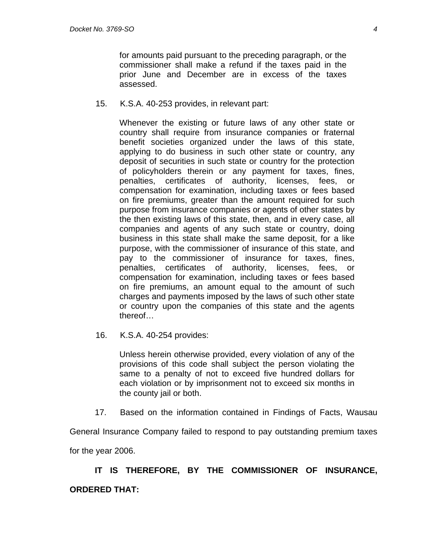for amounts paid pursuant to the preceding paragraph, or the commissioner shall make a refund if the taxes paid in the prior June and December are in excess of the taxes assessed.

15. K.S.A. 40-253 provides, in relevant part:

Whenever the existing or future laws of any other state or country shall require from insurance companies or fraternal benefit societies organized under the laws of this state, applying to do business in such other state or country, any deposit of securities in such state or country for the protection of policyholders therein or any payment for taxes, fines, penalties, certificates of authority, licenses, fees, or compensation for examination, including taxes or fees based on fire premiums, greater than the amount required for such purpose from insurance companies or agents of other states by the then existing laws of this state, then, and in every case, all companies and agents of any such state or country, doing business in this state shall make the same deposit, for a like purpose, with the commissioner of insurance of this state, and pay to the commissioner of insurance for taxes, fines, penalties, certificates of authority, licenses, fees, or compensation for examination, including taxes or fees based on fire premiums, an amount equal to the amount of such charges and payments imposed by the laws of such other state or country upon the companies of this state and the agents thereof…

16. K.S.A. 40-254 provides:

Unless herein otherwise provided, every violation of any of the provisions of this code shall subject the person violating the same to a penalty of not to exceed five hundred dollars for each violation or by imprisonment not to exceed six months in the county jail or both.

17. Based on the information contained in Findings of Facts, Wausau

General Insurance Company failed to respond to pay outstanding premium taxes

for the year 2006.

**IT IS THEREFORE, BY THE COMMISSIONER OF INSURANCE, ORDERED THAT:**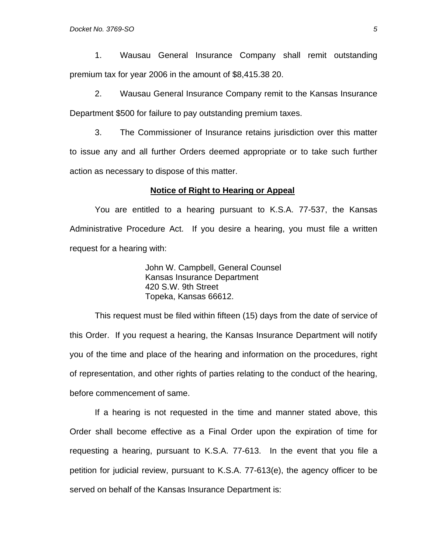1. Wausau General Insurance Company shall remit outstanding premium tax for year 2006 in the amount of \$8,415.38 20.

2. Wausau General Insurance Company remit to the Kansas Insurance Department \$500 for failure to pay outstanding premium taxes.

3. The Commissioner of Insurance retains jurisdiction over this matter to issue any and all further Orders deemed appropriate or to take such further action as necessary to dispose of this matter.

#### **Notice of Right to Hearing or Appeal**

You are entitled to a hearing pursuant to K.S.A. 77-537, the Kansas Administrative Procedure Act. If you desire a hearing, you must file a written request for a hearing with:

> John W. Campbell, General Counsel Kansas Insurance Department 420 S.W. 9th Street Topeka, Kansas 66612.

This request must be filed within fifteen (15) days from the date of service of this Order. If you request a hearing, the Kansas Insurance Department will notify you of the time and place of the hearing and information on the procedures, right of representation, and other rights of parties relating to the conduct of the hearing, before commencement of same.

If a hearing is not requested in the time and manner stated above, this Order shall become effective as a Final Order upon the expiration of time for requesting a hearing, pursuant to K.S.A. 77-613. In the event that you file a petition for judicial review, pursuant to K.S.A. 77-613(e), the agency officer to be served on behalf of the Kansas Insurance Department is: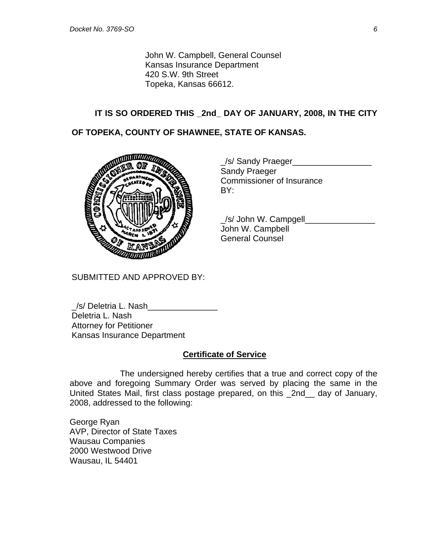John W. Campbell, General Counsel Kansas Insurance Department 420 S.W. 9th Street Topeka, Kansas 66612.

### **IT IS SO ORDERED THIS \_2nd\_ DAY OF JANUARY, 2008, IN THE CITY**

### **OF TOPEKA, COUNTY OF SHAWNEE, STATE OF KANSAS.**



|             | S/ Sandy Praeger          |
|-------------|---------------------------|
|             | <b>Sandy Praeger</b>      |
|             | Commissioner of Insurance |
| <b>MARS</b> | BY:                       |

 $\angle$ s/ John W. Campgell John W. Campbell General Counsel

SUBMITTED AND APPROVED BY:

\_/s/ Deletria L. Nash\_\_\_\_\_\_\_\_\_\_\_\_\_\_\_ Deletria L. Nash Attorney for Petitioner Kansas Insurance Department

### **Certificate of Service**

 The undersigned hereby certifies that a true and correct copy of the above and foregoing Summary Order was served by placing the same in the United States Mail, first class postage prepared, on this \_2nd\_\_ day of January, 2008, addressed to the following:

George Ryan AVP, Director of State Taxes Wausau Companies 2000 Westwood Drive Wausau, IL 54401